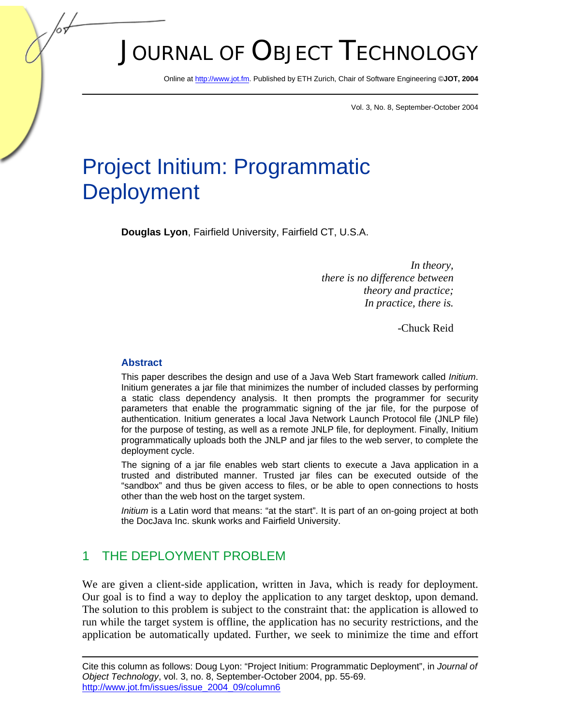# JOURNAL OF OBJECT TECHNOLOGY

Online a[t http://www.jot.fm.](http://www.jot.fm) Published by ETH Zurich, Chair of Software Engineering ©**JOT, 2004** 

Vol. 3, No. 8, September-October 2004

## Project Initium: Programmatic **Deployment**

**Douglas Lyon**, Fairfield University, Fairfield CT, U.S.A.

*In theory, there is no difference between theory and practice; In practice, there is.* 

-Chuck Reid

#### **Abstract**

This paper describes the design and use of a Java Web Start framework called *Initium*. Initium generates a jar file that minimizes the number of included classes by performing a static class dependency analysis. It then prompts the programmer for security parameters that enable the programmatic signing of the jar file, for the purpose of authentication. Initium generates a local Java Network Launch Protocol file (JNLP file) for the purpose of testing, as well as a remote JNLP file, for deployment. Finally, Initium programmatically uploads both the JNLP and jar files to the web server, to complete the deployment cycle.

The signing of a jar file enables web start clients to execute a Java application in a trusted and distributed manner. Trusted jar files can be executed outside of the "sandbox" and thus be given access to files, or be able to open connections to hosts other than the web host on the target system.

*Initium* is a Latin word that means: "at the start". It is part of an on-going project at both the DocJava Inc. skunk works and Fairfield University.

## 1 THE DEPLOYMENT PROBLEM

We are given a client-side application, written in Java, which is ready for deployment. Our goal is to find a way to deploy the application to any target desktop, upon demand. The solution to this problem is subject to the constraint that: the application is allowed to run while the target system is offline, the application has no security restrictions, and the application be automatically updated. Further, we seek to minimize the time and effort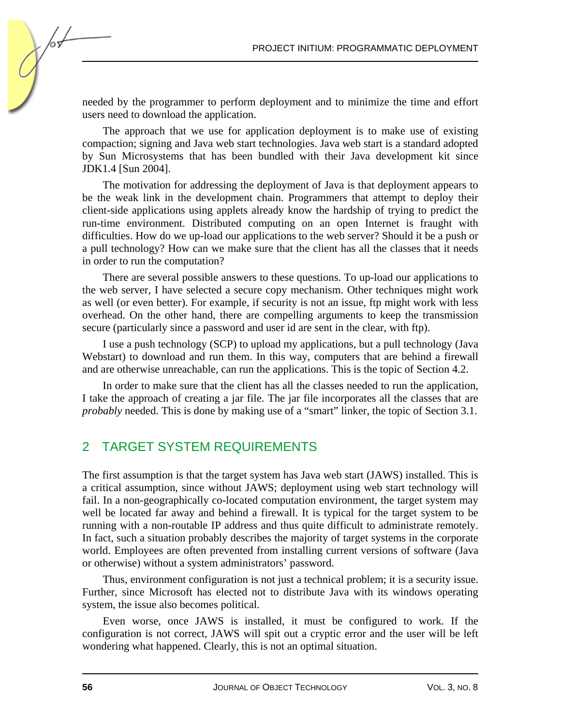needed by the programmer to perform deployment and to minimize the time and effort users need to download the application.

The approach that we use for application deployment is to make use of existing compaction; signing and Java web start technologies. Java web start is a standard adopted by Sun Microsystems that has been bundled with their Java development kit since JDK1.4 [Sun 2004].

The motivation for addressing the deployment of Java is that deployment appears to be the weak link in the development chain. Programmers that attempt to deploy their client-side applications using applets already know the hardship of trying to predict the run-time environment. Distributed computing on an open Internet is fraught with difficulties. How do we up-load our applications to the web server? Should it be a push or a pull technology? How can we make sure that the client has all the classes that it needs in order to run the computation?

There are several possible answers to these questions. To up-load our applications to the web server, I have selected a secure copy mechanism. Other techniques might work as well (or even better). For example, if security is not an issue, ftp might work with less overhead. On the other hand, there are compelling arguments to keep the transmission secure (particularly since a password and user id are sent in the clear, with ftp).

I use a push technology (SCP) to upload my applications, but a pull technology (Java Webstart) to download and run them. In this way, computers that are behind a firewall and are otherwise unreachable, can run the applications. This is the topic of Section 4.2.

In order to make sure that the client has all the classes needed to run the application, I take the approach of creating a jar file. The jar file incorporates all the classes that are *probably* needed. This is done by making use of a "smart" linker, the topic of Section 3.1.

## 2 TARGET SYSTEM REQUIREMENTS

The first assumption is that the target system has Java web start (JAWS) installed. This is a critical assumption, since without JAWS; deployment using web start technology will fail. In a non-geographically co-located computation environment, the target system may well be located far away and behind a firewall. It is typical for the target system to be running with a non-routable IP address and thus quite difficult to administrate remotely. In fact, such a situation probably describes the majority of target systems in the corporate world. Employees are often prevented from installing current versions of software (Java or otherwise) without a system administrators' password.

Thus, environment configuration is not just a technical problem; it is a security issue. Further, since Microsoft has elected not to distribute Java with its windows operating system, the issue also becomes political.

Even worse, once JAWS is installed, it must be configured to work. If the configuration is not correct, JAWS will spit out a cryptic error and the user will be left wondering what happened. Clearly, this is not an optimal situation.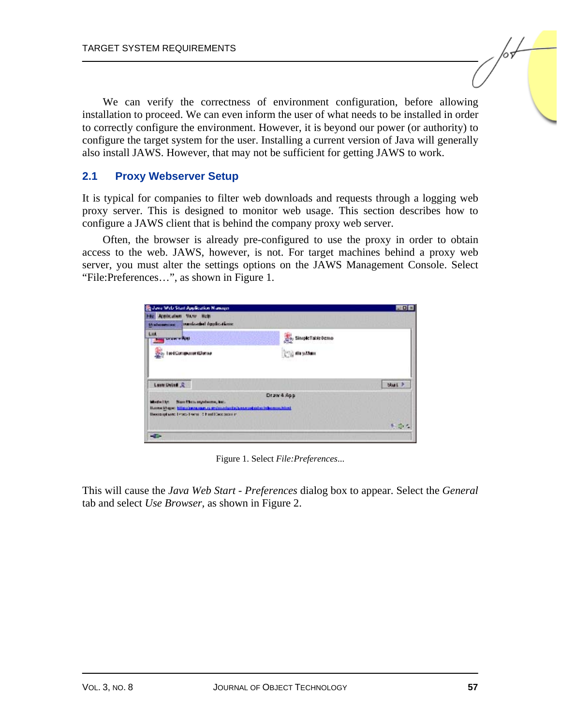We can verify the correctness of environment configuration, before allowing installation to proceed. We can even inform the user of what needs to be installed in order to correctly configure the environment. However, it is beyond our power (or authority) to configure the target system for the user. Installing a current version of Java will generally also install JAWS. However, that may not be sufficient for getting JAWS to work.

#### **2.1 Proxy Webserver Setup**

It is typical for companies to filter web downloads and requests through a logging web proxy server. This is designed to monitor web usage. This section describes how to configure a JAWS client that is behind the company proxy web server.

Often, the browser is already pre-configured to use the proxy in order to obtain access to the web. JAWS, however, is not. For target machines behind a proxy web server, you must alter the settings options on the JAWS Management Console. Select "File:Preferences…", as shown in Figure 1.

| Armistation Many Birls                                                                                                                                  |                      |              |
|---------------------------------------------------------------------------------------------------------------------------------------------------------|----------------------|--------------|
| manda-del ópplic-tions.<br><b>Разимае</b> шни:                                                                                                          |                      |              |
| Litt<br><b>LAND PAIN</b>                                                                                                                                | SimpleTableDemo      |              |
| тве4Соператог#Дегтал                                                                                                                                    | <b>Call displace</b> |              |
|                                                                                                                                                         |                      |              |
| LuxurDebia &                                                                                                                                            |                      | <b>blues</b> |
|                                                                                                                                                         | Draw 4 App           |              |
| Numbers expelsion, both<br>Made I for<br>Barnethape hills://www.cam.cam/cambinity/aww.caterial.informationi<br>Decorpham: Isses Dami: Chind Decorporate |                      |              |

Figure 1. Select *File:Preferences*...

This will cause the *Java Web Start - Preferences* dialog box to appear. Select the *General* tab and select *Use Browser,* as shown in Figure 2.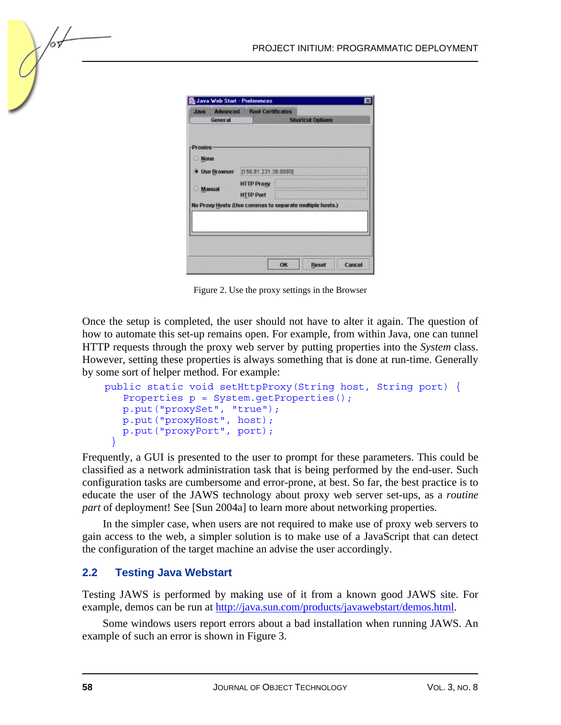| <b>SW6L</b>   |                   | <b>Advanced Root Certificates</b> |                                                         |  |
|---------------|-------------------|-----------------------------------|---------------------------------------------------------|--|
|               | General           |                                   | <b>Shortcut Options</b>                                 |  |
|               |                   |                                   |                                                         |  |
| -Proxies      |                   |                                   |                                                         |  |
| Mone          |                   |                                   |                                                         |  |
|               | · Use Browser     | [156.81.231.36.8080]              |                                                         |  |
|               | <b>HTTP Praxy</b> |                                   |                                                         |  |
| <b>Manual</b> |                   | <b>HTTP Port</b>                  |                                                         |  |
|               |                   |                                   | No Proxy Hosts (Use commas to separate multiple hosts.) |  |
|               |                   |                                   |                                                         |  |
|               |                   |                                   |                                                         |  |
|               |                   |                                   |                                                         |  |
|               |                   |                                   |                                                         |  |
|               |                   |                                   |                                                         |  |

Figure 2. Use the proxy settings in the Browser

Once the setup is completed, the user should not have to alter it again. The question of how to automate this set-up remains open. For example, from within Java, one can tunnel HTTP requests through the proxy web server by putting properties into the *System* class. However, setting these properties is always something that is done at run-time. Generally by some sort of helper method. For example:

```
 public static void setHttpProxy(String host, String port) { 
     Properties p = System.getProperties(); 
    p.put("proxySet", "true"); 
    p.put("proxyHost", host); 
    p.put("proxyPort", port); 
 }
```
Frequently, a GUI is presented to the user to prompt for these parameters. This could be classified as a network administration task that is being performed by the end-user. Such configuration tasks are cumbersome and error-prone, at best. So far, the best practice is to educate the user of the JAWS technology about proxy web server set-ups, as a *routine part* of deployment! See [Sun 2004a] to learn more about networking properties.

In the simpler case, when users are not required to make use of proxy web servers to gain access to the web, a simpler solution is to make use of a JavaScript that can detect the configuration of the target machine an advise the user accordingly.

#### **2.2 Testing Java Webstart**

Testing JAWS is performed by making use of it from a known good JAWS site. For example, demos can be run at http://java.sun.com/products/javawebstart/demos.html.

Some windows users report errors about a bad installation when running JAWS. An example of such an error is shown in Figure 3.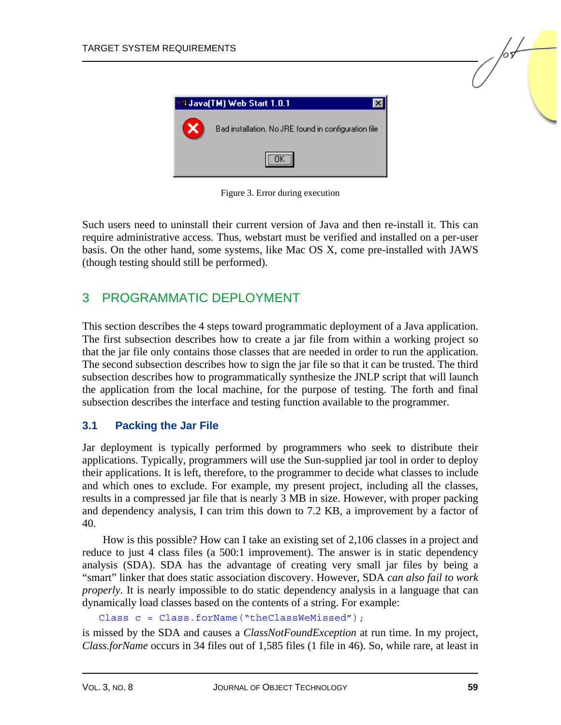

Figure 3. Error during execution

Such users need to uninstall their current version of Java and then re-install it. This can require administrative access. Thus, webstart must be verified and installed on a per-user basis. On the other hand, some systems, like Mac OS X, come pre-installed with JAWS (though testing should still be performed).

## 3 PROGRAMMATIC DEPLOYMENT

This section describes the 4 steps toward programmatic deployment of a Java application. The first subsection describes how to create a jar file from within a working project so that the jar file only contains those classes that are needed in order to run the application. The second subsection describes how to sign the jar file so that it can be trusted. The third subsection describes how to programmatically synthesize the JNLP script that will launch the application from the local machine, for the purpose of testing. The forth and final subsection describes the interface and testing function available to the programmer.

#### **3.1 Packing the Jar File**

Jar deployment is typically performed by programmers who seek to distribute their applications. Typically, programmers will use the Sun-supplied jar tool in order to deploy their applications. It is left, therefore, to the programmer to decide what classes to include and which ones to exclude. For example, my present project, including all the classes, results in a compressed jar file that is nearly 3 MB in size. However, with proper packing and dependency analysis, I can trim this down to 7.2 KB, a improvement by a factor of 40.

How is this possible? How can I take an existing set of 2,106 classes in a project and reduce to just 4 class files (a 500:1 improvement). The answer is in static dependency analysis (SDA). SDA has the advantage of creating very small jar files by being a "smart" linker that does static association discovery. However, SDA *can also fail to work properly*. It is nearly impossible to do static dependency analysis in a language that can dynamically load classes based on the contents of a string. For example:

Class c = Class.forName("theClassWeMissed");

is missed by the SDA and causes a *ClassNotFoundException* at run time. In my project, *Class.forName* occurs in 34 files out of 1,585 files (1 file in 46). So, while rare, at least in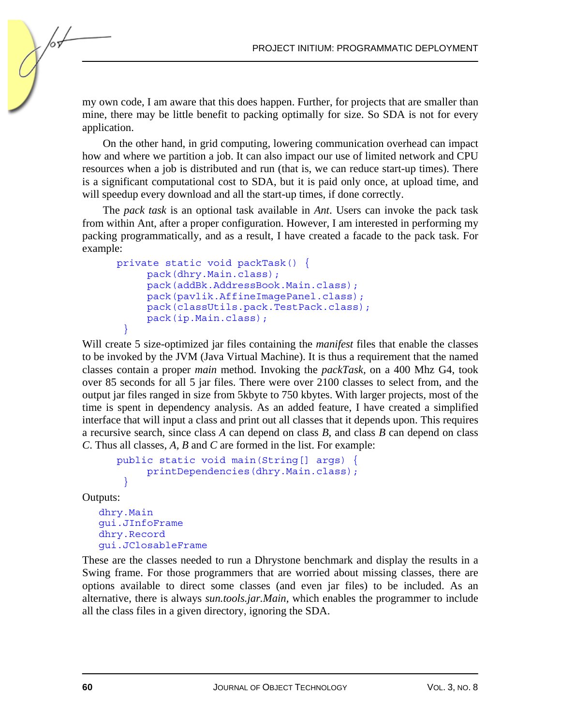my own code, I am aware that this does happen. Further, for projects that are smaller than mine, there may be little benefit to packing optimally for size. So SDA is not for every application.

On the other hand, in grid computing, lowering communication overhead can impact how and where we partition a job. It can also impact our use of limited network and CPU resources when a job is distributed and run (that is, we can reduce start-up times). There is a significant computational cost to SDA, but it is paid only once, at upload time, and will speedup every download and all the start-up times, if done correctly.

The *pack task* is an optional task available in *Ant*. Users can invoke the pack task from within Ant, after a proper configuration. However, I am interested in performing my packing programmatically, and as a result, I have created a facade to the pack task. For example:

```
 private static void packTask() { 
         pack(dhry.Main.class); 
         pack(addBk.AddressBook.Main.class); 
         pack(pavlik.AffineImagePanel.class); 
         pack(classUtils.pack.TestPack.class); 
         pack(ip.Main.class); 
 }
```
Will create 5 size-optimized jar files containing the *manifest* files that enable the classes to be invoked by the JVM (Java Virtual Machine). It is thus a requirement that the named classes contain a proper *main* method. Invoking the *packTask,* on a 400 Mhz G4, took over 85 seconds for all 5 jar files. There were over 2100 classes to select from, and the output jar files ranged in size from 5kbyte to 750 kbytes. With larger projects, most of the time is spent in dependency analysis. As an added feature, I have created a simplified interface that will input a class and print out all classes that it depends upon. This requires a recursive search, since class *A* can depend on class *B*, and class *B* can depend on class *C*. Thus all classes, *A, B* and *C* are formed in the list. For example:

```
 public static void main(String[] args) { 
         printDependencies(dhry.Main.class); 
 }
```
Outputs:

dhry.Main gui.JInfoFrame dhry.Record gui.JClosableFrame

These are the classes needed to run a Dhrystone benchmark and display the results in a Swing frame. For those programmers that are worried about missing classes, there are options available to direct some classes (and even jar files) to be included. As an alternative, there is always *sun.tools.jar.Main,* which enables the programmer to include all the class files in a given directory, ignoring the SDA.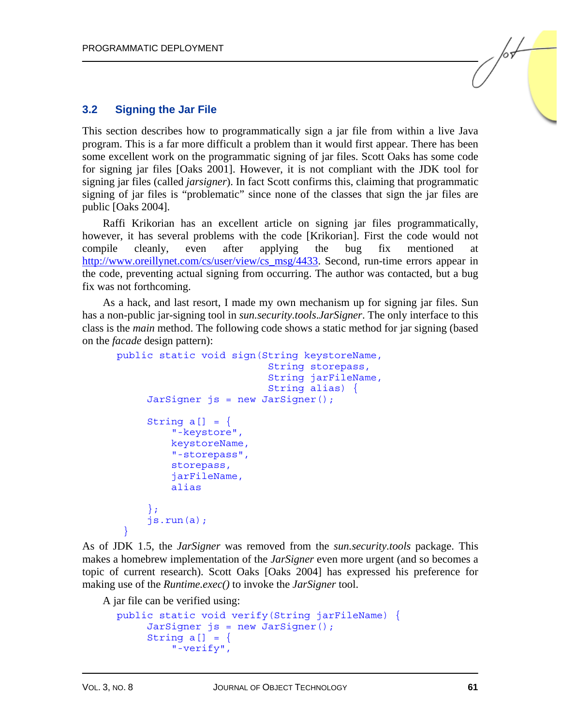#### **3.2 Signing the Jar File**

This section describes how to programmatically sign a jar file from within a live Java program. This is a far more difficult a problem than it would first appear. There has been some excellent work on the programmatic signing of jar files. Scott Oaks has some code for signing jar files [Oaks 2001]. However, it is not compliant with the JDK tool for signing jar files (called *jarsigner*). In fact Scott confirms this, claiming that programmatic signing of jar files is "problematic" since none of the classes that sign the jar files are public [Oaks 2004].

Raffi Krikorian has an excellent article on signing jar files programmatically, however, it has several problems with the code [Krikorian]. First the code would not compile cleanly, even after applying the bug fix mentioned at [http://www.oreillynet.com/cs/user/view/cs\\_msg/4433. Se](http://www.oreillynet.com/cs/user/view/cs_msg/4433)cond, run-time errors appear in the code, preventing actual signing from occurring. The author was contacted, but a bug fix was not forthcoming.

As a hack, and last resort, I made my own mechanism up for signing jar files. Sun has a non-public jar-signing tool in *sun.security.tools*.*JarSigner*. The only interface to this class is the *main* method. The following code shows a static method for jar signing (based on the *facade* design pattern):

```
 public static void sign(String keystoreName, 
                                 String storepass, 
                                 String jarFileName, 
                                 String alias) { 
          JarSigner js = new JarSigner(); 
         String a[] = \{ "-keystore", 
              keystoreName, 
              "-storepass", 
              storepass, 
              jarFileName, 
              alias 
          }; 
          js.run(a); 
 }
```
As of JDK 1.5, the *JarSigner* was removed from the *sun.security.tools* package. This makes a homebrew implementation of the *JarSigner* even more urgent (and so becomes a topic of current research). Scott Oaks [Oaks 2004] has expressed his preference for making use of the *Runtime.exec()* to invoke the *JarSigner* tool.

A jar file can be verified using:

```
 public static void verify(String jarFileName) { 
      JarSigner js = new JarSigner(); 
     String a[] = \{ "-verify",
```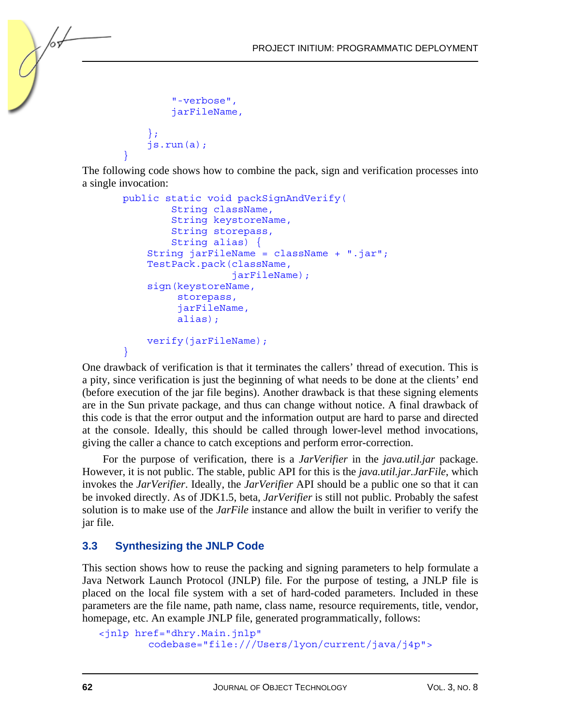```
 "-verbose", 
            jarFileName, 
\};
        js.run(a); 
 }
```
The following code shows how to combine the pack, sign and verification processes into a single invocation:

```
 public static void packSignAndVerify( 
              String className, 
              String keystoreName, 
              String storepass, 
              String alias) { 
         String jarFileName = className + ".jar"; 
         TestPack.pack(className, 
                         jarFileName); 
         sign(keystoreName, 
               storepass, 
               jarFileName, 
               alias); 
         verify(jarFileName); 
 }
```
One drawback of verification is that it terminates the callers' thread of execution. This is a pity, since verification is just the beginning of what needs to be done at the clients' end (before execution of the jar file begins). Another drawback is that these signing elements are in the Sun private package, and thus can change without notice. A final drawback of this code is that the error output and the information output are hard to parse and directed at the console. Ideally, this should be called through lower-level method invocations, giving the caller a chance to catch exceptions and perform error-correction.

For the purpose of verification, there is a *JarVerifier* in the *java.util.jar* package. However, it is not public. The stable, public API for this is the *java.util.jar.JarFile*, which invokes the *JarVerifier*. Ideally, the *JarVerifier* API should be a public one so that it can be invoked directly. As of JDK1.5, beta, *JarVerifier* is still not public. Probably the safest solution is to make use of the *JarFile* instance and allow the built in verifier to verify the jar file.

## **3.3 Synthesizing the JNLP Code**

This section shows how to reuse the packing and signing parameters to help formulate a Java Network Launch Protocol (JNLP) file. For the purpose of testing, a JNLP file is placed on the local file system with a set of hard-coded parameters. Included in these parameters are the file name, path name, class name, resource requirements, title, vendor, homepage, etc. An example JNLP file, generated programmatically, follows:

```
<jnlp href="dhry.Main.jnlp" 
        codebase="file:///Users/lyon/current/java/j4p">
```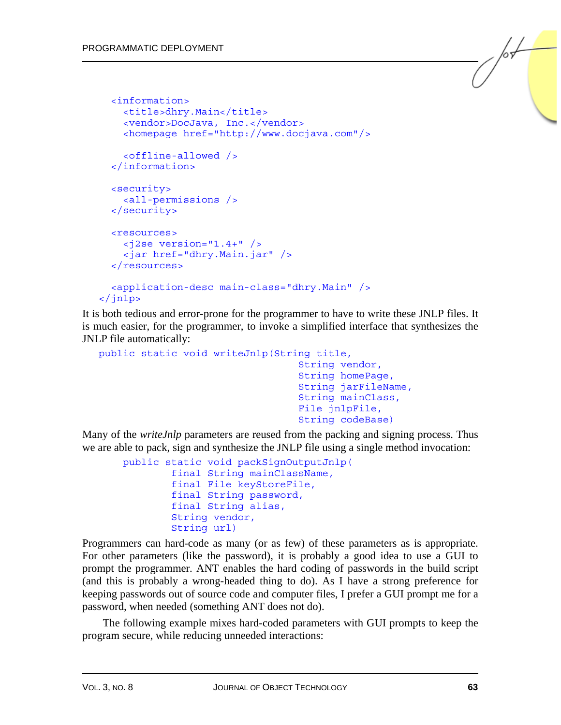```
 <information> 
     <title>dhry.Main</title> 
     <vendor>DocJava, Inc.</vendor> 
     <homepage href="http://www.docjava.com"/> 
     <offline-allowed /> 
   </information> 
   <security> 
     <all-permissions /> 
   </security> 
   <resources> 
    \langle = \rangle version="1.4+" />
     <jar href="dhry.Main.jar" /> 
   </resources> 
   <application-desc main-class="dhry.Main" /> 
</jnlp>
```
It is both tedious and error-prone for the programmer to have to write these JNLP files. It is much easier, for the programmer, to invoke a simplified interface that synthesizes the JNLP file automatically:

```
public static void writeJnlp(String title, 
                                      String vendor, 
                                      String homePage, 
                                      String jarFileName, 
                                      String mainClass, 
                                      File jnlpFile, 
                                      String codeBase)
```
Many of the *writeJnlp* parameters are reused from the packing and signing process. Thus we are able to pack, sign and synthesize the JNLP file using a single method invocation:

```
 public static void packSignOutputJnlp( 
          final String mainClassName, 
          final File keyStoreFile, 
          final String password, 
          final String alias, 
          String vendor, 
          String url)
```
Programmers can hard-code as many (or as few) of these parameters as is appropriate. For other parameters (like the password), it is probably a good idea to use a GUI to prompt the programmer. ANT enables the hard coding of passwords in the build script (and this is probably a wrong-headed thing to do). As I have a strong preference for keeping passwords out of source code and computer files, I prefer a GUI prompt me for a password, when needed (something ANT does not do).

The following example mixes hard-coded parameters with GUI prompts to keep the program secure, while reducing unneeded interactions: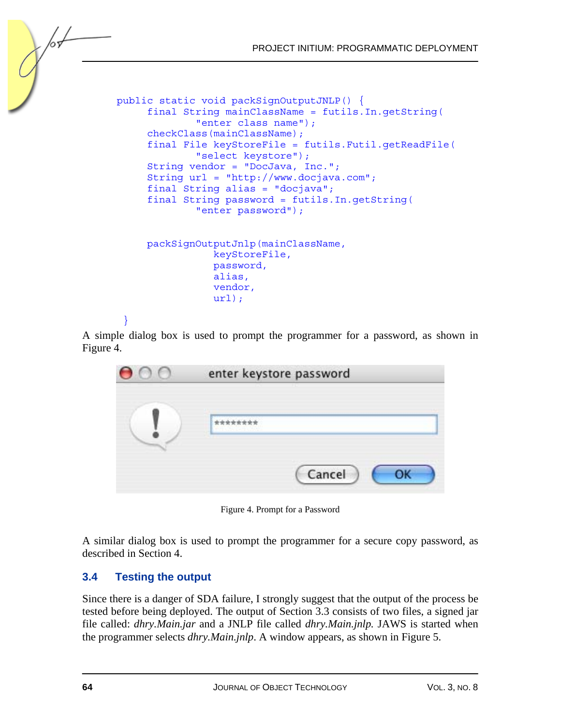

}

A simple dialog box is used to prompt the programmer for a password, as shown in Figure 4.

| 00 | enter keystore password |  |  |
|----|-------------------------|--|--|
|    |                         |  |  |
|    | Cancel                  |  |  |

Figure 4. Prompt for a Password

A similar dialog box is used to prompt the programmer for a secure copy password, as described in Section 4.

## **3.4 Testing the output**

Since there is a danger of SDA failure, I strongly suggest that the output of the process be tested before being deployed. The output of Section 3.3 consists of two files, a signed jar file called: *dhry.Main.jar* and a JNLP file called *dhry.Main.jnlp.* JAWS is started when the programmer selects *dhry.Main.jnlp*. A window appears, as shown in Figure 5.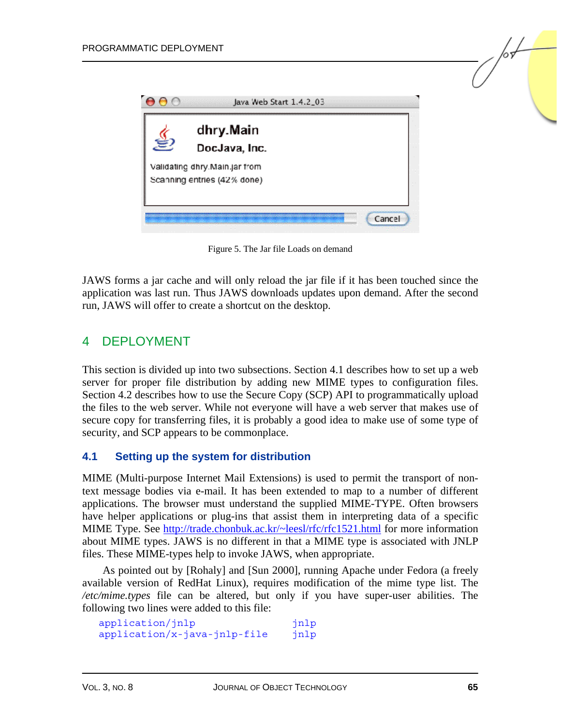

Figure 5. The Jar file Loads on demand

JAWS forms a jar cache and will only reload the jar file if it has been touched since the application was last run. Thus JAWS downloads updates upon demand. After the second run, JAWS will offer to create a shortcut on the desktop.

## 4 DEPLOYMENT

This section is divided up into two subsections. Section 4.1 describes how to set up a web server for proper file distribution by adding new MIME types to configuration files. Section 4.2 describes how to use the Secure Copy (SCP) API to programmatically upload the files to the web server. While not everyone will have a web server that makes use of secure copy for transferring files, it is probably a good idea to make use of some type of security, and SCP appears to be commonplace.

#### **4.1 Setting up the system for distribution**

MIME (Multi-purpose Internet Mail Extensions) is used to permit the transport of nontext message bodies via e-mail. It has been extended to map to a number of different applications. The browser must understand the supplied MIME-TYPE. Often browsers have helper applications or plug-ins that assist them in interpreting data of a specific MIME Type. Se[e http://trade.chonbuk.ac.kr/~leesl/rfc/rfc1521.html f](http://trade.chonbuk.ac.kr/~leesl/rfc/rfc1521.html)or more information about MIME types. JAWS is no different in that a MIME type is associated with JNLP files. These MIME-types help to invoke JAWS, when appropriate.

As pointed out by [Rohaly] and [Sun 2000], running Apache under Fedora (a freely available version of RedHat Linux), requires modification of the mime type list. The */etc/mime.types* file can be altered, but only if you have super-user abilities. The following two lines were added to this file:

```
application/jnlp jnlp
application/x-java-jnlp-file jnlp
```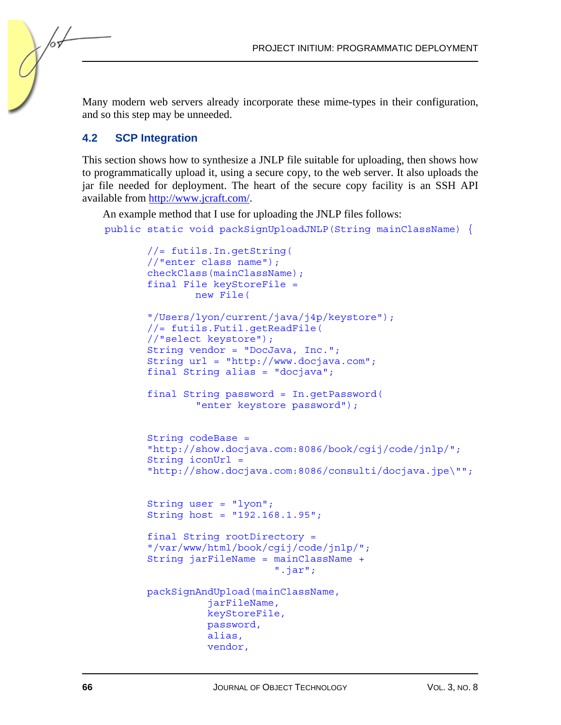Many modern web servers already incorporate these mime-types in their configuration, and so this step may be unneeded.

#### **4.2 SCP Integration**

/or

This section shows how to synthesize a JNLP file suitable for uploading, then shows how to programmatically upload it, using a secure copy, to the web server. It also uploads the jar file needed for deployment. The heart of the secure copy facility is an SSH API available fro[m http://www.jcraft.com/.](http://www.jcraft.com/) 

An example method that I use for uploading the JNLP files follows:

public static void packSignUploadJNLP(String mainClassName) {

```
 //= futils.In.getString( 
 //"enter class name"); 
 checkClass(mainClassName); 
 final File keyStoreFile = 
         new File( 
 "/Users/lyon/current/java/j4p/keystore"); 
 //= futils.Futil.getReadFile( 
 //"select keystore"); 
 String vendor = "DocJava, Inc."; 
 String url = "http://www.docjava.com"; 
 final String alias = "docjava"; 
 final String password = In.getPassword( 
          "enter keystore password"); 
 String codeBase = 
 "http://show.docjava.com:8086/book/cgij/code/jnlp/"; 
 String iconUrl = 
 "http://show.docjava.com:8086/consulti/docjava.jpe\""; 
 String user = "lyon"; 
 String host = "192.168.1.95"; 
 final String rootDirectory = 
 "/var/www/html/book/cgij/code/jnlp/"; 
 String jarFileName = mainClassName + 
                       ".jar"; 
 packSignAndUpload(mainClassName, 
            jarFileName, 
           keyStoreFile, 
           password, 
            alias, 
            vendor,
```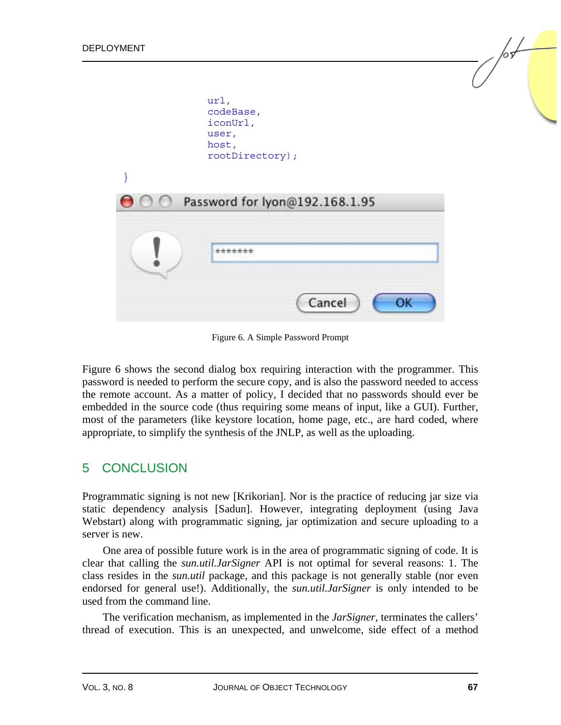

Figure 6. A Simple Password Prompt

Figure 6 shows the second dialog box requiring interaction with the programmer. This password is needed to perform the secure copy, and is also the password needed to access the remote account. As a matter of policy, I decided that no passwords should ever be embedded in the source code (thus requiring some means of input, like a GUI). Further, most of the parameters (like keystore location, home page, etc., are hard coded, where appropriate, to simplify the synthesis of the JNLP, as well as the uploading.

#### 5 CONCLUSION

Programmatic signing is not new [Krikorian]. Nor is the practice of reducing jar size via static dependency analysis [Sadun]. However, integrating deployment (using Java Webstart) along with programmatic signing, jar optimization and secure uploading to a server is new.

One area of possible future work is in the area of programmatic signing of code. It is clear that calling the *sun.util.JarSigner* API is not optimal for several reasons: 1. The class resides in the *sun.util* package, and this package is not generally stable (nor even endorsed for general use!). Additionally, the *sun.util.JarSigner* is only intended to be used from the command line.

The verification mechanism, as implemented in the *JarSigner*, terminates the callers' thread of execution. This is an unexpected, and unwelcome, side effect of a method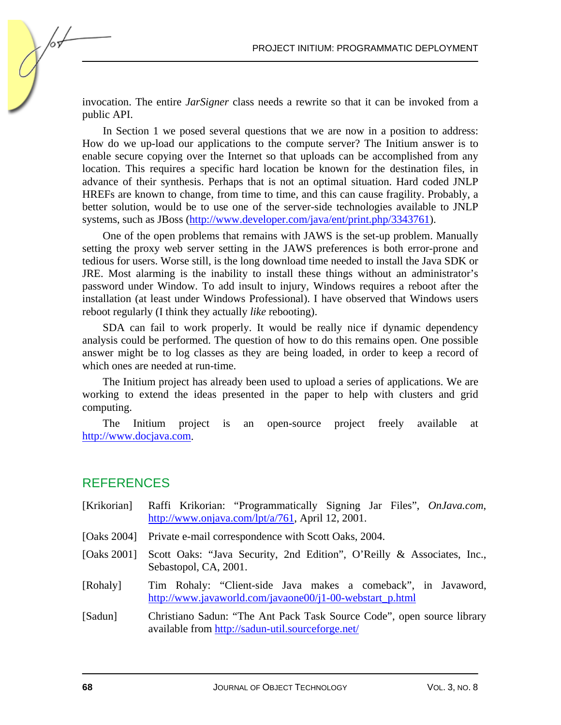invocation. The entire *JarSigner* class needs a rewrite so that it can be invoked from a public API.

In Section 1 we posed several questions that we are now in a position to address: How do we up-load our applications to the compute server? The Initium answer is to enable secure copying over the Internet so that uploads can be accomplished from any location. This requires a specific hard location be known for the destination files, in advance of their synthesis. Perhaps that is not an optimal situation. Hard coded JNLP HREFs are known to change, from time to time, and this can cause fragility. Probably, a better solution, would be to use one of the server-side technologies available to JNLP systems, such as JBoss (http://www.developer.com/java/ent/print.php/3343761).

One of the open problems that remains with JAWS is the set-up problem. Manually setting the proxy web server setting in the JAWS preferences is both error-prone and tedious for users. Worse still, is the long download time needed to install the Java SDK or JRE. Most alarming is the inability to install these things without an administrator's password under Window. To add insult to injury, Windows requires a reboot after the installation (at least under Windows Professional). I have observed that Windows users reboot regularly (I think they actually *like* rebooting).

SDA can fail to work properly. It would be really nice if dynamic dependency analysis could be performed. The question of how to do this remains open. One possible answer might be to log classes as they are being loaded, in order to keep a record of which ones are needed at run-time.

The Initium project has already been used to upload a series of applications. We are working to extend the ideas presented in the paper to help with clusters and grid computing.

The Initium project is an open-source project freely available at [http://www.docjava.com.](http://www.docjava.com) 

## REFERENCES

| [Krikorian] | Raffi Krikorian: "Programmatically Signing Jar Files", <i>OnJava.com</i> ,<br>http://www.onjava.com/lpt/a/761, April 12, 2001. |
|-------------|--------------------------------------------------------------------------------------------------------------------------------|
|             | [Oaks 2004] Private e-mail correspondence with Scott Oaks, 2004.                                                               |
| [Oaks 2001] | Scott Oaks: "Java Security, 2nd Edition", O'Reilly & Associates, Inc.,<br>Sebastopol, CA, 2001.                                |
| [Rohaly]    | Tim Rohaly: "Client-side Java makes a comeback", in Javaword,<br>http://www.javaworld.com/javaone00/j1-00-webstart_p.html      |
| [Sadun]     | Christiano Sadun: "The Ant Pack Task Source Code", open source library<br>available from http://sadun-util.sourceforge.net/    |